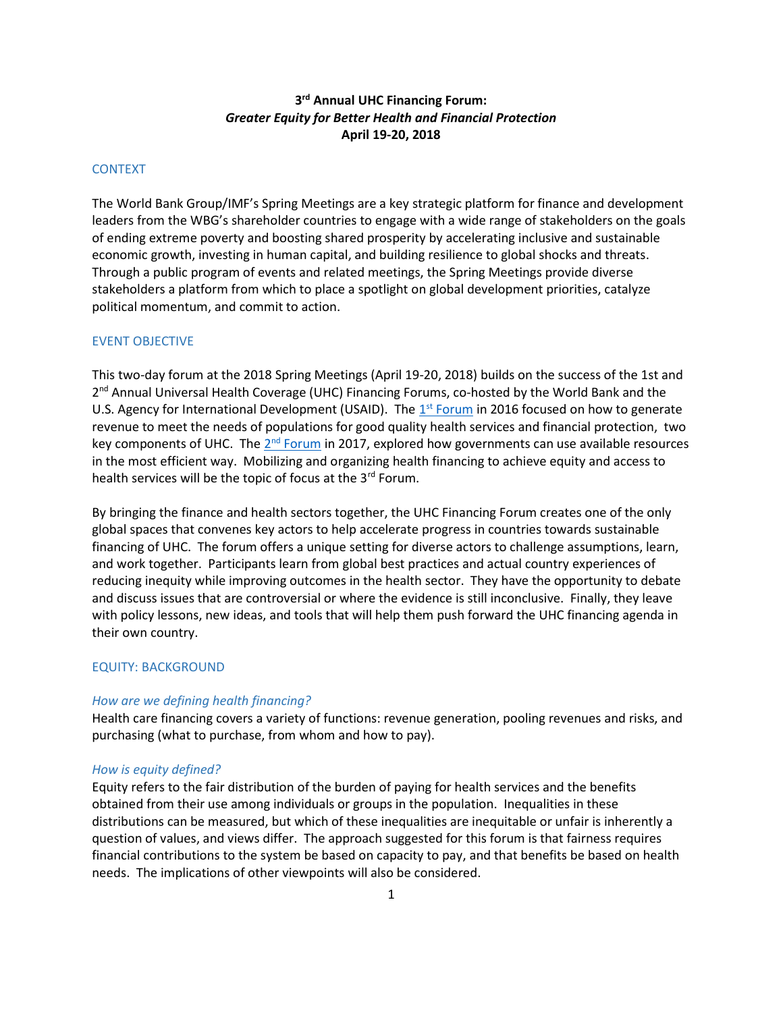# 3<sup>rd</sup> Annual UHC Financing Forum: Greater Equity for Better Health and Financial Protection April 19-20, 2018

# **CONTEXT**

The World Bank Group/IMF's Spring Meetings are a key strategic platform for finance and development leaders from the WBG's shareholder countries to engage with a wide range of stakeholders on the goals of ending extreme poverty and boosting shared prosperity by accelerating inclusive and sustainable economic growth, investing in human capital, and building resilience to global shocks and threats. Through a public program of events and related meetings, the Spring Meetings provide diverse stakeholders a platform from which to place a spotlight on global development priorities, catalyze political momentum, and commit to action.

#### EVENT OBJECTIVE

This two-day forum at the 2018 Spring Meetings (April 19-20, 2018) builds on the success of the 1st and 2<sup>nd</sup> Annual Universal Health Coverage (UHC) Financing Forums, co-hosted by the World Bank and the U.S. Agency for International Development (USAID). The 1<sup>st</sup> Forum in 2016 focused on how to generate revenue to meet the needs of populations for good quality health services and financial protection, two key components of UHC. The 2<sup>nd</sup> Forum in 2017, explored how governments can use available resources in the most efficient way. Mobilizing and organizing health financing to achieve equity and access to health services will be the topic of focus at the 3<sup>rd</sup> Forum.

By bringing the finance and health sectors together, the UHC Financing Forum creates one of the only global spaces that convenes key actors to help accelerate progress in countries towards sustainable financing of UHC. The forum offers a unique setting for diverse actors to challenge assumptions, learn, and work together. Participants learn from global best practices and actual country experiences of reducing inequity while improving outcomes in the health sector. They have the opportunity to debate and discuss issues that are controversial or where the evidence is still inconclusive. Finally, they leave with policy lessons, new ideas, and tools that will help them push forward the UHC financing agenda in their own country.

### EQUITY: BACKGROUND

#### How are we defining health financing?

Health care financing covers a variety of functions: revenue generation, pooling revenues and risks, and purchasing (what to purchase, from whom and how to pay).

#### How is equity defined?

Equity refers to the fair distribution of the burden of paying for health services and the benefits obtained from their use among individuals or groups in the population. Inequalities in these distributions can be measured, but which of these inequalities are inequitable or unfair is inherently a question of values, and views differ. The approach suggested for this forum is that fairness requires financial contributions to the system be based on capacity to pay, and that benefits be based on health needs. The implications of other viewpoints will also be considered.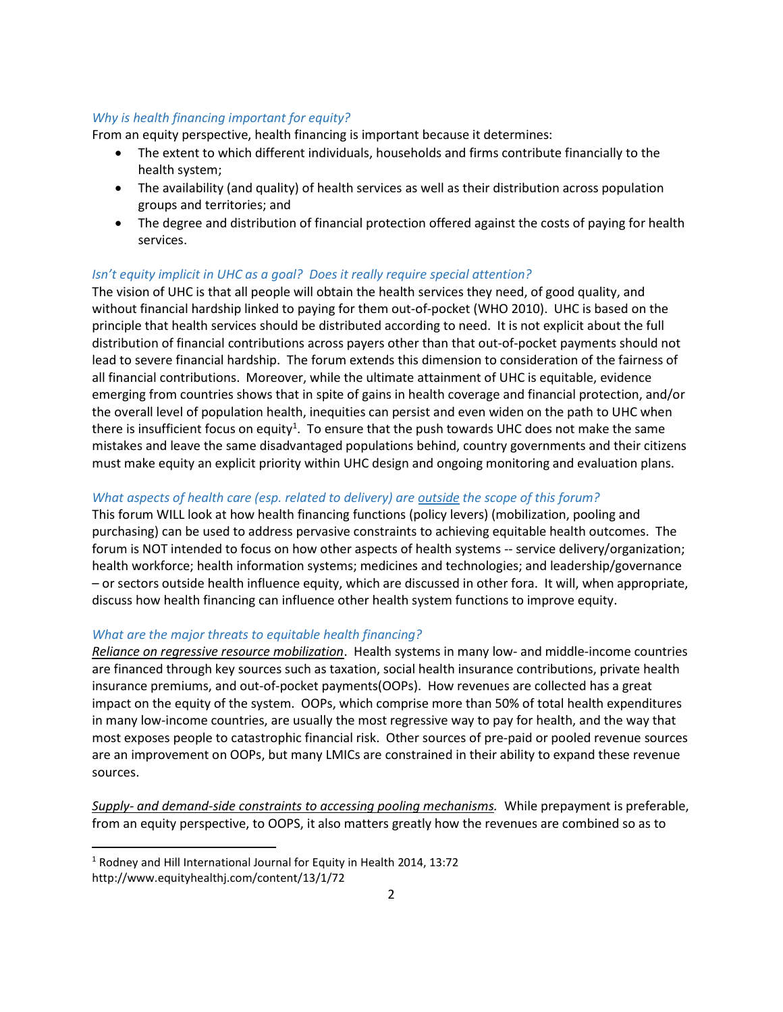# Why is health financing important for equity?

From an equity perspective, health financing is important because it determines:

- The extent to which different individuals, households and firms contribute financially to the health system;
- The availability (and quality) of health services as well as their distribution across population groups and territories; and
- The degree and distribution of financial protection offered against the costs of paying for health services.

# Isn't equity implicit in UHC as a goal? Does it really require special attention?

The vision of UHC is that all people will obtain the health services they need, of good quality, and without financial hardship linked to paying for them out-of-pocket (WHO 2010). UHC is based on the principle that health services should be distributed according to need. It is not explicit about the full distribution of financial contributions across payers other than that out-of-pocket payments should not lead to severe financial hardship. The forum extends this dimension to consideration of the fairness of all financial contributions. Moreover, while the ultimate attainment of UHC is equitable, evidence emerging from countries shows that in spite of gains in health coverage and financial protection, and/or the overall level of population health, inequities can persist and even widen on the path to UHC when there is insufficient focus on equity<sup>1</sup>. To ensure that the push towards UHC does not make the same mistakes and leave the same disadvantaged populations behind, country governments and their citizens must make equity an explicit priority within UHC design and ongoing monitoring and evaluation plans.

### What aspects of health care (esp. related to delivery) are outside the scope of this forum?

This forum WILL look at how health financing functions (policy levers) (mobilization, pooling and purchasing) can be used to address pervasive constraints to achieving equitable health outcomes. The forum is NOT intended to focus on how other aspects of health systems -- service delivery/organization; health workforce; health information systems; medicines and technologies; and leadership/governance – or sectors outside health influence equity, which are discussed in other fora. It will, when appropriate, discuss how health financing can influence other health system functions to improve equity.

#### What are the major threats to equitable health financing?

Reliance on regressive resource mobilization. Health systems in many low- and middle-income countries are financed through key sources such as taxation, social health insurance contributions, private health insurance premiums, and out-of-pocket payments(OOPs). How revenues are collected has a great impact on the equity of the system. OOPs, which comprise more than 50% of total health expenditures in many low-income countries, are usually the most regressive way to pay for health, and the way that most exposes people to catastrophic financial risk. Other sources of pre-paid or pooled revenue sources are an improvement on OOPs, but many LMICs are constrained in their ability to expand these revenue sources.

Supply- and demand-side constraints to accessing pooling mechanisms. While prepayment is preferable, from an equity perspective, to OOPS, it also matters greatly how the revenues are combined so as to

<sup>&</sup>lt;sup>1</sup> Rodney and Hill International Journal for Equity in Health 2014, 13:72 http://www.equityhealthj.com/content/13/1/72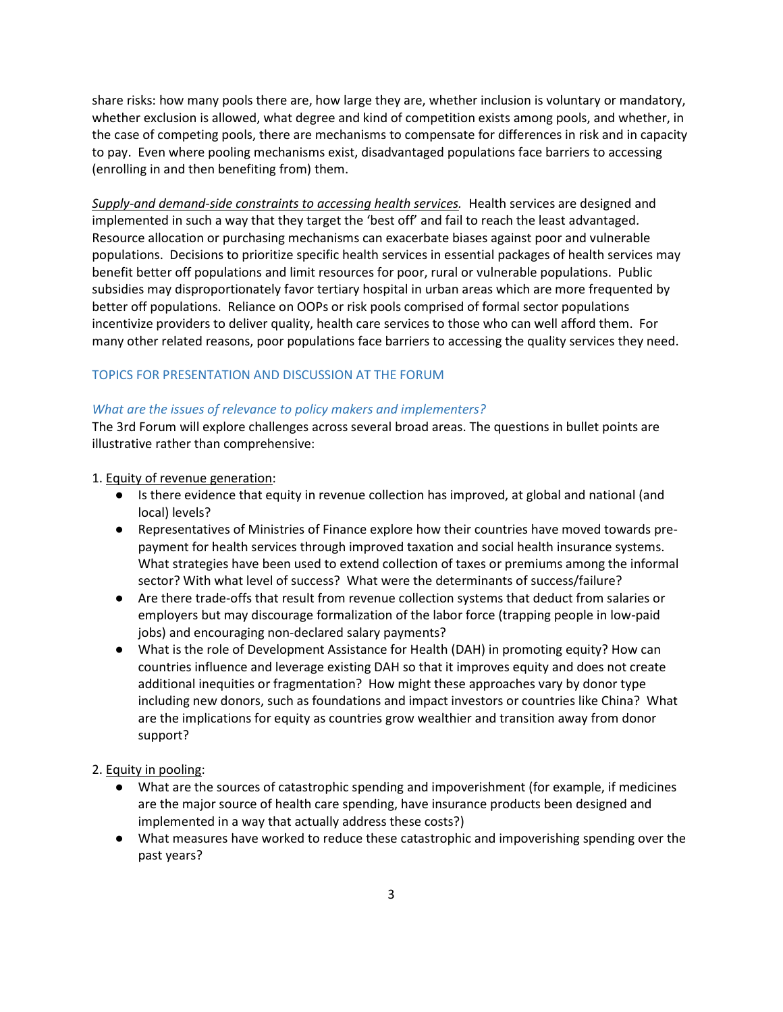share risks: how many pools there are, how large they are, whether inclusion is voluntary or mandatory, whether exclusion is allowed, what degree and kind of competition exists among pools, and whether, in the case of competing pools, there are mechanisms to compensate for differences in risk and in capacity to pay. Even where pooling mechanisms exist, disadvantaged populations face barriers to accessing (enrolling in and then benefiting from) them.

Supply-and demand-side constraints to accessing health services. Health services are designed and implemented in such a way that they target the 'best off' and fail to reach the least advantaged. Resource allocation or purchasing mechanisms can exacerbate biases against poor and vulnerable populations. Decisions to prioritize specific health services in essential packages of health services may benefit better off populations and limit resources for poor, rural or vulnerable populations. Public subsidies may disproportionately favor tertiary hospital in urban areas which are more frequented by better off populations. Reliance on OOPs or risk pools comprised of formal sector populations incentivize providers to deliver quality, health care services to those who can well afford them. For many other related reasons, poor populations face barriers to accessing the quality services they need.

### TOPICS FOR PRESENTATION AND DISCUSSION AT THE FORUM

#### What are the issues of relevance to policy makers and implementers?

The 3rd Forum will explore challenges across several broad areas. The questions in bullet points are illustrative rather than comprehensive:

#### 1. Equity of revenue generation:

- Is there evidence that equity in revenue collection has improved, at global and national (and local) levels?
- Representatives of Ministries of Finance explore how their countries have moved towards prepayment for health services through improved taxation and social health insurance systems. What strategies have been used to extend collection of taxes or premiums among the informal sector? With what level of success? What were the determinants of success/failure?
- Are there trade-offs that result from revenue collection systems that deduct from salaries or employers but may discourage formalization of the labor force (trapping people in low-paid jobs) and encouraging non-declared salary payments?
- What is the role of Development Assistance for Health (DAH) in promoting equity? How can countries influence and leverage existing DAH so that it improves equity and does not create additional inequities or fragmentation? How might these approaches vary by donor type including new donors, such as foundations and impact investors or countries like China? What are the implications for equity as countries grow wealthier and transition away from donor support?

### 2. Equity in pooling:

- What are the sources of catastrophic spending and impoverishment (for example, if medicines are the major source of health care spending, have insurance products been designed and implemented in a way that actually address these costs?)
- What measures have worked to reduce these catastrophic and impoverishing spending over the past years?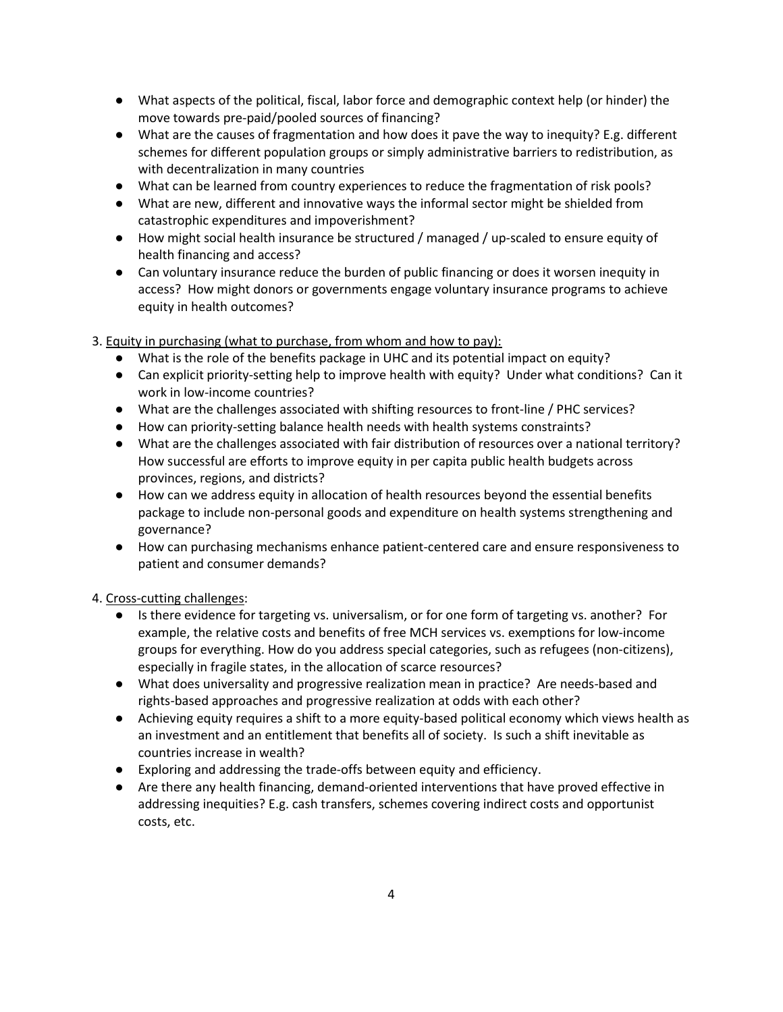- What aspects of the political, fiscal, labor force and demographic context help (or hinder) the move towards pre-paid/pooled sources of financing?
- What are the causes of fragmentation and how does it pave the way to inequity? E.g. different schemes for different population groups or simply administrative barriers to redistribution, as with decentralization in many countries
- What can be learned from country experiences to reduce the fragmentation of risk pools?
- What are new, different and innovative ways the informal sector might be shielded from catastrophic expenditures and impoverishment?
- How might social health insurance be structured / managed / up-scaled to ensure equity of health financing and access?
- Can voluntary insurance reduce the burden of public financing or does it worsen inequity in access? How might donors or governments engage voluntary insurance programs to achieve equity in health outcomes?

3. Equity in purchasing (what to purchase, from whom and how to pay):

- What is the role of the benefits package in UHC and its potential impact on equity?
- Can explicit priority-setting help to improve health with equity? Under what conditions? Can it work in low-income countries?
- What are the challenges associated with shifting resources to front-line / PHC services?
- How can priority-setting balance health needs with health systems constraints?
- What are the challenges associated with fair distribution of resources over a national territory? How successful are efforts to improve equity in per capita public health budgets across provinces, regions, and districts?
- How can we address equity in allocation of health resources beyond the essential benefits package to include non-personal goods and expenditure on health systems strengthening and governance?
- How can purchasing mechanisms enhance patient-centered care and ensure responsiveness to patient and consumer demands?

4. Cross-cutting challenges:

- Is there evidence for targeting vs. universalism, or for one form of targeting vs. another? For example, the relative costs and benefits of free MCH services vs. exemptions for low-income groups for everything. How do you address special categories, such as refugees (non-citizens), especially in fragile states, in the allocation of scarce resources?
- What does universality and progressive realization mean in practice? Are needs-based and rights-based approaches and progressive realization at odds with each other?
- Achieving equity requires a shift to a more equity-based political economy which views health as an investment and an entitlement that benefits all of society. Is such a shift inevitable as countries increase in wealth?
- Exploring and addressing the trade-offs between equity and efficiency.
- Are there any health financing, demand-oriented interventions that have proved effective in addressing inequities? E.g. cash transfers, schemes covering indirect costs and opportunist costs, etc.